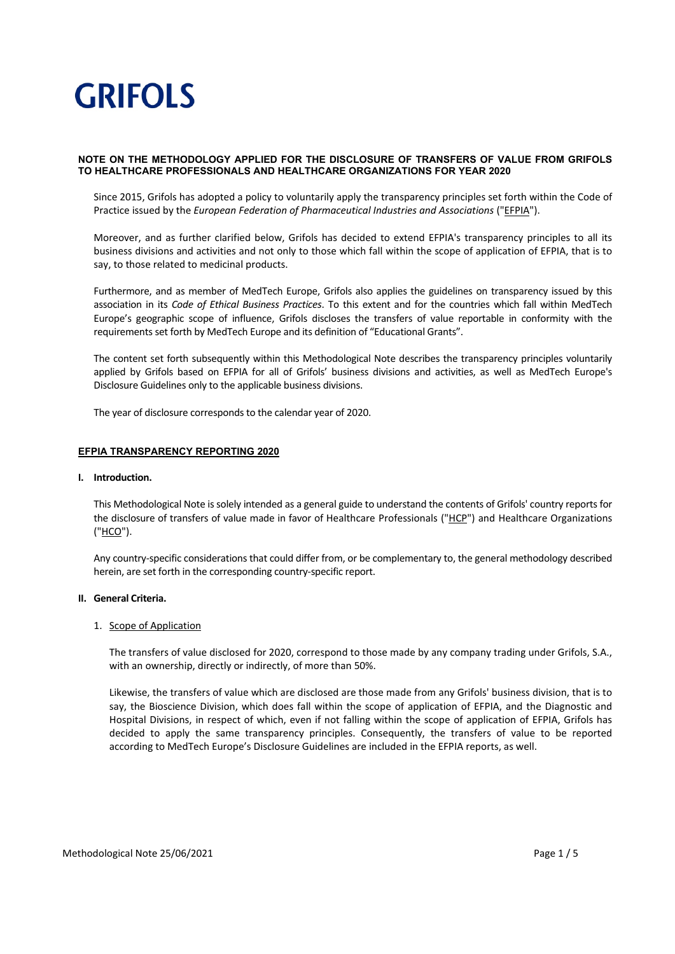### **NOTE ON THE METHODOLOGY APPLIED FOR THE DISCLOSURE OF TRANSFERS OF VALUE FROM GRIFOLS TO HEALTHCARE PROFESSIONALS AND HEALTHCARE ORGANIZATIONS FOR YEAR 2020**

Since 2015, Grifols has adopted a policy to voluntarily apply the transparency principles set forth within the Code of Practice issued by the *European Federation of Pharmaceutical Industries and Associations* ("EFPIA").

Moreover, and as further clarified below, Grifols has decided to extend EFPIA's transparency principles to all its business divisions and activities and not only to those which fall within the scope of application of EFPIA, that is to say, to those related to medicinal products.

Furthermore, and as member of MedTech Europe, Grifols also applies the guidelines on transparency issued by this association in its *Code of Ethical Business Practices*. To this extent and for the countries which fall within MedTech Europe's geographic scope of influence, Grifols discloses the transfers of value reportable in conformity with the requirements set forth by MedTech Europe and its definition of "Educational Grants".

The content set forth subsequently within this Methodological Note describes the transparency principles voluntarily applied by Grifols based on EFPIA for all of Grifols' business divisions and activities, as well as MedTech Europe's Disclosure Guidelines only to the applicable business divisions.

The year of disclosure corresponds to the calendar year of 2020.

### **EFPIA TRANSPARENCY REPORTING 2020**

### **I. Introduction.**

This Methodological Note is solely intended as a general guide to understand the contents of Grifols' country reports for the disclosure of transfers of value made in favor of Healthcare Professionals ("HCP") and Healthcare Organizations ("HCO").

Any country‐specific considerations that could differ from, or be complementary to, the general methodology described herein, are set forth in the corresponding country‐specific report.

### **II. General Criteria.**

### 1. Scope of Application

The transfers of value disclosed for 2020, correspond to those made by any company trading under Grifols, S.A., with an ownership, directly or indirectly, of more than 50%.

Likewise, the transfers of value which are disclosed are those made from any Grifols' business division, that is to say, the Bioscience Division, which does fall within the scope of application of EFPIA, and the Diagnostic and Hospital Divisions, in respect of which, even if not falling within the scope of application of EFPIA, Grifols has decided to apply the same transparency principles. Consequently, the transfers of value to be reported according to MedTech Europe's Disclosure Guidelines are included in the EFPIA reports, as well.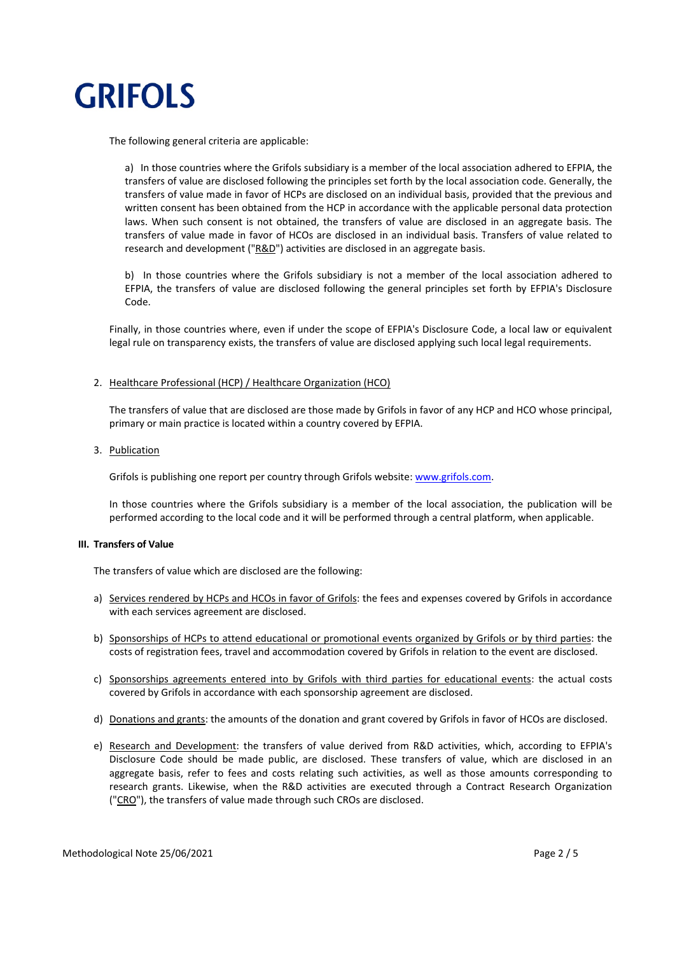

The following general criteria are applicable:

a) In those countries where the Grifols subsidiary is a member of the local association adhered to EFPIA, the transfers of value are disclosed following the principles set forth by the local association code. Generally, the transfers of value made in favor of HCPs are disclosed on an individual basis, provided that the previous and written consent has been obtained from the HCP in accordance with the applicable personal data protection laws. When such consent is not obtained, the transfers of value are disclosed in an aggregate basis. The transfers of value made in favor of HCOs are disclosed in an individual basis. Transfers of value related to research and development (" $R&D$ ") activities are disclosed in an aggregate basis.

b) In those countries where the Grifols subsidiary is not a member of the local association adhered to EFPIA, the transfers of value are disclosed following the general principles set forth by EFPIA's Disclosure Code.

Finally, in those countries where, even if under the scope of EFPIA's Disclosure Code, a local law or equivalent legal rule on transparency exists, the transfers of value are disclosed applying such local legal requirements.

### 2. Healthcare Professional (HCP) / Healthcare Organization (HCO)

The transfers of value that are disclosed are those made by Grifols in favor of any HCP and HCO whose principal, primary or main practice is located within a country covered by EFPIA.

#### 3. Publication

Grifols is publishing one report per country through Grifols website: www.grifols.com.

In those countries where the Grifols subsidiary is a member of the local association, the publication will be performed according to the local code and it will be performed through a central platform, when applicable.

### **III. Transfers of Value**

The transfers of value which are disclosed are the following:

- a) Services rendered by HCPs and HCOs in favor of Grifols: the fees and expenses covered by Grifols in accordance with each services agreement are disclosed.
- b) Sponsorships of HCPs to attend educational or promotional events organized by Grifols or by third parties: the costs of registration fees, travel and accommodation covered by Grifols in relation to the event are disclosed.
- c) Sponsorships agreements entered into by Grifols with third parties for educational events: the actual costs covered by Grifols in accordance with each sponsorship agreement are disclosed.
- d) Donations and grants: the amounts of the donation and grant covered by Grifols in favor of HCOs are disclosed.
- e) Research and Development: the transfers of value derived from R&D activities, which, according to EFPIA's Disclosure Code should be made public, are disclosed. These transfers of value, which are disclosed in an aggregate basis, refer to fees and costs relating such activities, as well as those amounts corresponding to research grants. Likewise, when the R&D activities are executed through a Contract Research Organization ("CRO"), the transfers of value made through such CROs are disclosed.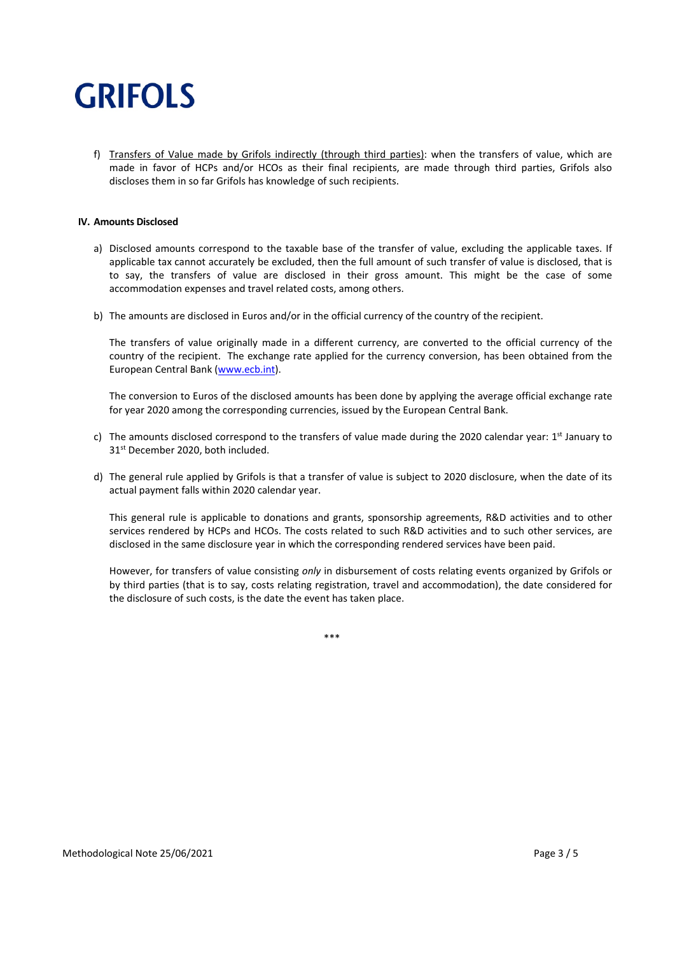f) Transfers of Value made by Grifols indirectly (through third parties): when the transfers of value, which are made in favor of HCPs and/or HCOs as their final recipients, are made through third parties, Grifols also discloses them in so far Grifols has knowledge of such recipients.

### **IV. Amounts Disclosed**

- a) Disclosed amounts correspond to the taxable base of the transfer of value, excluding the applicable taxes. If applicable tax cannot accurately be excluded, then the full amount of such transfer of value is disclosed, that is to say, the transfers of value are disclosed in their gross amount. This might be the case of some accommodation expenses and travel related costs, among others.
- b) The amounts are disclosed in Euros and/or in the official currency of the country of the recipient.

The transfers of value originally made in a different currency, are converted to the official currency of the country of the recipient. The exchange rate applied for the currency conversion, has been obtained from the European Central Bank (www.ecb.int).

The conversion to Euros of the disclosed amounts has been done by applying the average official exchange rate for year 2020 among the corresponding currencies, issued by the European Central Bank.

- c) The amounts disclosed correspond to the transfers of value made during the 2020 calendar year:  $1<sup>st</sup>$  January to 31<sup>st</sup> December 2020, both included.
- d) The general rule applied by Grifols is that a transfer of value is subject to 2020 disclosure, when the date of its actual payment falls within 2020 calendar year.

This general rule is applicable to donations and grants, sponsorship agreements, R&D activities and to other services rendered by HCPs and HCOs. The costs related to such R&D activities and to such other services, are disclosed in the same disclosure year in which the corresponding rendered services have been paid.

However, for transfers of value consisting *only* in disbursement of costs relating events organized by Grifols or by third parties (that is to say, costs relating registration, travel and accommodation), the date considered for the disclosure of such costs, is the date the event has taken place.

\*\*\*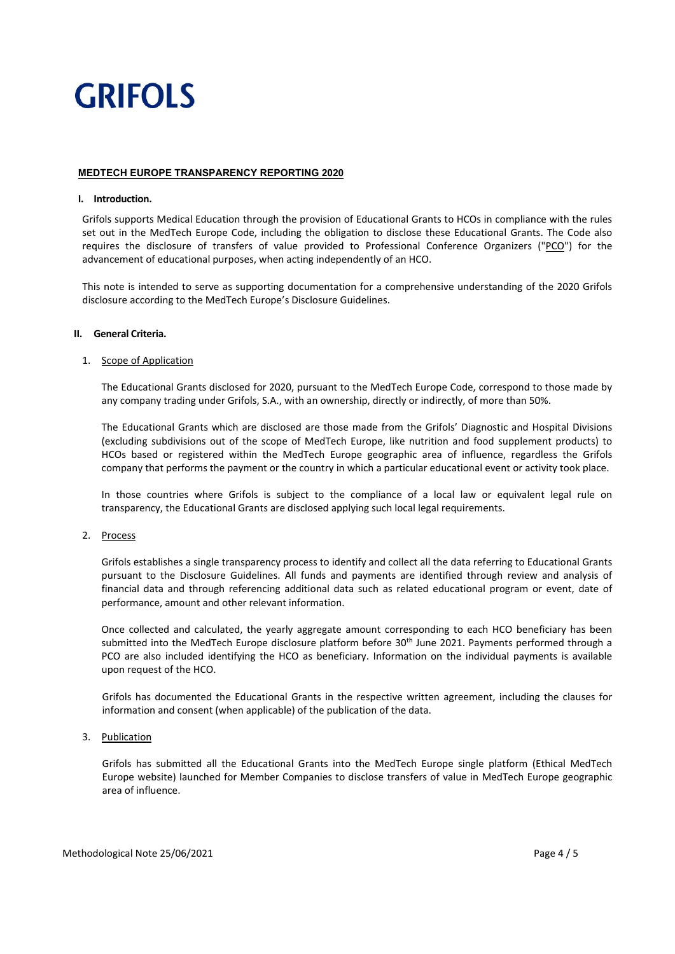### **MEDTECH EUROPE TRANSPARENCY REPORTING 2020**

### **I. Introduction.**

Grifols supports Medical Education through the provision of Educational Grants to HCOs in compliance with the rules set out in the MedTech Europe Code, including the obligation to disclose these Educational Grants. The Code also requires the disclosure of transfers of value provided to Professional Conference Organizers ("PCO") for the advancement of educational purposes, when acting independently of an HCO.

This note is intended to serve as supporting documentation for a comprehensive understanding of the 2020 Grifols disclosure according to the MedTech Europe's Disclosure Guidelines.

### **II. General Criteria.**

### 1. Scope of Application

The Educational Grants disclosed for 2020, pursuant to the MedTech Europe Code, correspond to those made by any company trading under Grifols, S.A., with an ownership, directly or indirectly, of more than 50%.

The Educational Grants which are disclosed are those made from the Grifols' Diagnostic and Hospital Divisions (excluding subdivisions out of the scope of MedTech Europe, like nutrition and food supplement products) to HCOs based or registered within the MedTech Europe geographic area of influence, regardless the Grifols company that performs the payment or the country in which a particular educational event or activity took place.

In those countries where Grifols is subject to the compliance of a local law or equivalent legal rule on transparency, the Educational Grants are disclosed applying such local legal requirements.

### 2. Process

Grifols establishes a single transparency process to identify and collect all the data referring to Educational Grants pursuant to the Disclosure Guidelines. All funds and payments are identified through review and analysis of financial data and through referencing additional data such as related educational program or event, date of performance, amount and other relevant information.

Once collected and calculated, the yearly aggregate amount corresponding to each HCO beneficiary has been submitted into the MedTech Europe disclosure platform before 30<sup>th</sup> June 2021. Payments performed through a PCO are also included identifying the HCO as beneficiary. Information on the individual payments is available upon request of the HCO.

Grifols has documented the Educational Grants in the respective written agreement, including the clauses for information and consent (when applicable) of the publication of the data.

### 3. Publication

Grifols has submitted all the Educational Grants into the MedTech Europe single platform (Ethical MedTech Europe website) launched for Member Companies to disclose transfers of value in MedTech Europe geographic area of influence.